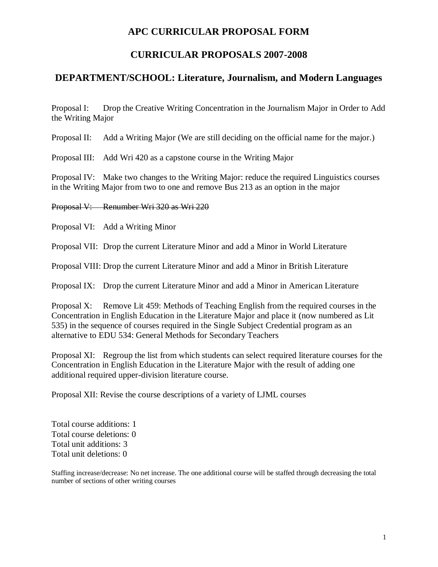# **APC CURRICULAR PROPOSAL FORM**

# **CURRICULAR PROPOSALS 2007-2008**

## **DEPARTMENT/SCHOOL: Literature, Journalism, and Modern Languages**

Proposal I: Drop the Creative Writing Concentration in the Journalism Major in Order to Add the Writing Major

Proposal II: Add a Writing Major (We are still deciding on the official name for the major.)

Proposal III: Add Wri 420 as a capstone course in the Writing Major

Proposal IV: Make two changes to the Writing Major: reduce the required Linguistics courses in the Writing Major from two to one and remove Bus 213 as an option in the major

Proposal V: Renumber Wri 320 as Wri 220

Proposal VI: Add a Writing Minor

Proposal VII: Drop the current Literature Minor and add a Minor in World Literature

Proposal VIII: Drop the current Literature Minor and add a Minor in British Literature

Proposal IX: Drop the current Literature Minor and add a Minor in American Literature

Proposal X: Remove Lit 459: Methods of Teaching English from the required courses in the Concentration in English Education in the Literature Major and place it (now numbered as Lit 535) in the sequence of courses required in the Single Subject Credential program as an alternative to EDU 534: General Methods for Secondary Teachers

Proposal XI: Regroup the list from which students can select required literature courses for the Concentration in English Education in the Literature Major with the result of adding one additional required upper-division literature course.

Proposal XII: Revise the course descriptions of a variety of LJML courses

Total course additions: 1 Total course deletions: 0 Total unit additions: 3 Total unit deletions: 0

Staffing increase/decrease: No net increase. The one additional course will be staffed through decreasing the total number of sections of other writing courses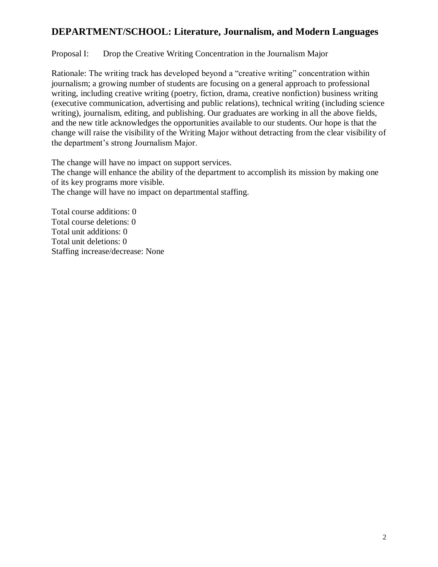## Proposal I: Drop the Creative Writing Concentration in the Journalism Major

Rationale: The writing track has developed beyond a "creative writing" concentration within journalism; a growing number of students are focusing on a general approach to professional writing, including creative writing (poetry, fiction, drama, creative nonfiction) business writing (executive communication, advertising and public relations), technical writing (including science writing), journalism, editing, and publishing. Our graduates are working in all the above fields, and the new title acknowledges the opportunities available to our students. Our hope is that the change will raise the visibility of the Writing Major without detracting from the clear visibility of the department's strong Journalism Major.

The change will have no impact on support services. The change will enhance the ability of the department to accomplish its mission by making one of its key programs more visible. The change will have no impact on departmental staffing.

Total course additions: 0 Total course deletions: 0 Total unit additions: 0 Total unit deletions: 0 Staffing increase/decrease: None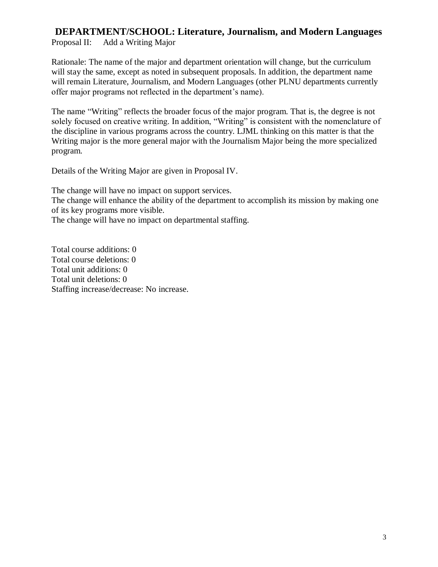Proposal II: Add a Writing Major

Rationale: The name of the major and department orientation will change, but the curriculum will stay the same, except as noted in subsequent proposals. In addition, the department name will remain Literature, Journalism, and Modern Languages (other PLNU departments currently offer major programs not reflected in the department's name).

The name "Writing" reflects the broader focus of the major program. That is, the degree is not solely focused on creative writing. In addition, "Writing" is consistent with the nomenclature of the discipline in various programs across the country. LJML thinking on this matter is that the Writing major is the more general major with the Journalism Major being the more specialized program.

Details of the Writing Major are given in Proposal IV.

The change will have no impact on support services. The change will enhance the ability of the department to accomplish its mission by making one of its key programs more visible. The change will have no impact on departmental staffing.

Total course additions: 0 Total course deletions: 0 Total unit additions: 0 Total unit deletions: 0 Staffing increase/decrease: No increase.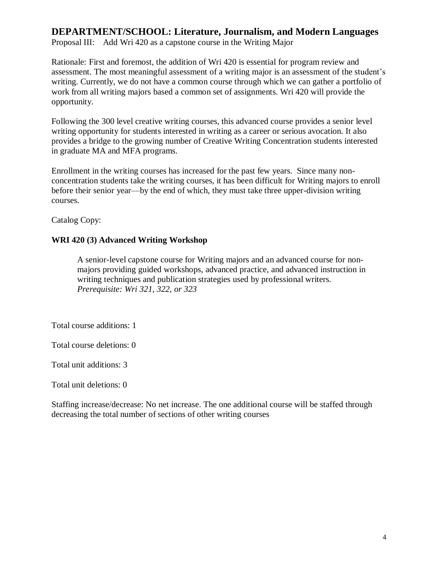Proposal III: Add Wri 420 as a capstone course in the Writing Major

Rationale: First and foremost, the addition of Wri 420 is essential for program review and assessment. The most meaningful assessment of a writing major is an assessment of the student's writing. Currently, we do not have a common course through which we can gather a portfolio of work from all writing majors based a common set of assignments. Wri 420 will provide the opportunity.

Following the 300 level creative writing courses, this advanced course provides a senior level writing opportunity for students interested in writing as a career or serious avocation. It also provides a bridge to the growing number of Creative Writing Concentration students interested in graduate MA and MFA programs.

Enrollment in the writing courses has increased for the past few years. Since many nonconcentration students take the writing courses, it has been difficult for Writing majors to enroll before their senior year—by the end of which, they must take three upper-division writing courses.

Catalog Copy:

## **WRI 420 (3) Advanced Writing Workshop**

A senior-level capstone course for Writing majors and an advanced course for nonmajors providing guided workshops, advanced practice, and advanced instruction in writing techniques and publication strategies used by professional writers. *Prerequisite: Wri 321, 322, or 323*

Total course additions: 1

Total course deletions: 0

Total unit additions: 3

Total unit deletions: 0

Staffing increase/decrease: No net increase. The one additional course will be staffed through decreasing the total number of sections of other writing courses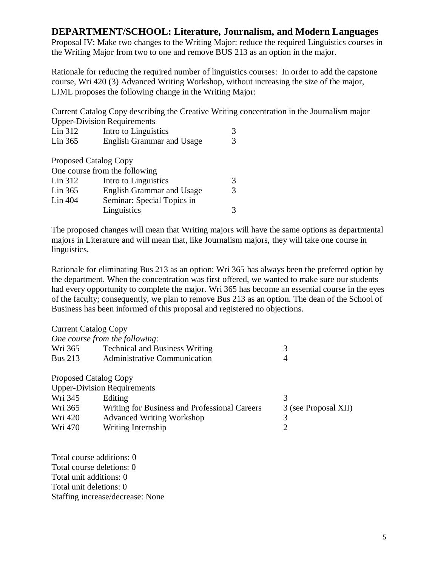Proposal IV: Make two changes to the Writing Major: reduce the required Linguistics courses in the Writing Major from two to one and remove BUS 213 as an option in the major.

Rationale for reducing the required number of linguistics courses: In order to add the capstone course, Wri 420 (3) Advanced Writing Workshop, without increasing the size of the major, LJML proposes the following change in the Writing Major:

Current Catalog Copy describing the Creative Writing concentration in the Journalism major Upper-Division Requirements

| Lin 312                      | Intro to Linguistics             |   |
|------------------------------|----------------------------------|---|
| Lin 365                      | <b>English Grammar and Usage</b> | 3 |
| <b>Proposed Catalog Copy</b> |                                  |   |
|                              | One course from the following    |   |
| Lin 312                      | Intro to Linguistics             | 3 |
| Lin 365                      | <b>English Grammar and Usage</b> | 3 |
| Lin 404                      | Seminar: Special Topics in       |   |
|                              | Linguistics                      |   |

The proposed changes will mean that Writing majors will have the same options as departmental majors in Literature and will mean that, like Journalism majors, they will take one course in linguistics.

Rationale for eliminating Bus 213 as an option: Wri 365 has always been the preferred option by the department. When the concentration was first offered, we wanted to make sure our students had every opportunity to complete the major. Wri 365 has become an essential course in the eyes of the faculty; consequently, we plan to remove Bus 213 as an option. The dean of the School of Business has been informed of this proposal and registered no objections.

| <b>Technical and Business Writing</b>         | 3                                                                                                                                   |
|-----------------------------------------------|-------------------------------------------------------------------------------------------------------------------------------------|
| <b>Administrative Communication</b>           | 4                                                                                                                                   |
|                                               |                                                                                                                                     |
|                                               |                                                                                                                                     |
| Editing                                       | 3                                                                                                                                   |
| Writing for Business and Professional Careers | 3 (see Proposal XII)                                                                                                                |
| <b>Advanced Writing Workshop</b>              | 3                                                                                                                                   |
| Writing Internship                            | 2                                                                                                                                   |
|                                               | <b>Current Catalog Copy</b><br>One course from the following:<br><b>Proposed Catalog Copy</b><br><b>Upper-Division Requirements</b> |

Total course additions: 0 Total course deletions: 0 Total unit additions: 0 Total unit deletions: 0 Staffing increase/decrease: None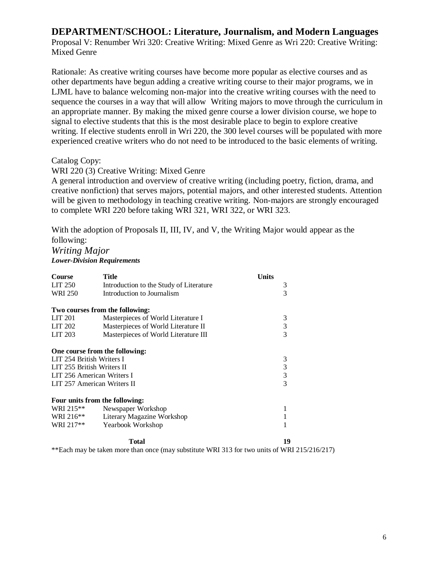Proposal V: Renumber Wri 320: Creative Writing: Mixed Genre as Wri 220: Creative Writing: Mixed Genre

Rationale: As creative writing courses have become more popular as elective courses and as other departments have begun adding a creative writing course to their major programs, we in LJML have to balance welcoming non-major into the creative writing courses with the need to sequence the courses in a way that will allow Writing majors to move through the curriculum in an appropriate manner. By making the mixed genre course a lower division course, we hope to signal to elective students that this is the most desirable place to begin to explore creative writing. If elective students enroll in Wri 220, the 300 level courses will be populated with more experienced creative writers who do not need to be introduced to the basic elements of writing.

### Catalog Copy:

### WRI 220 (3) Creative Writing: Mixed Genre

A general introduction and overview of creative writing (including poetry, fiction, drama, and creative nonfiction) that serves majors, potential majors, and other interested students. Attention will be given to methodology in teaching creative writing. Non-majors are strongly encouraged to complete WRI 220 before taking WRI 321, WRI 322, or WRI 323.

With the adoption of Proposals II, III, IV, and V, the Writing Major would appear as the following:

### *Writing Major Lower-Division Requirements*

| <b>Course</b>                   | <b>Title</b>                            | Units |
|---------------------------------|-----------------------------------------|-------|
| LIT 250                         | Introduction to the Study of Literature | 3     |
| <b>WRI 250</b>                  | Introduction to Journalism              | 3     |
| Two courses from the following: |                                         |       |
| LIT 201                         | Masterpieces of World Literature I      | 3     |
| LIT 202                         | Masterpieces of World Literature II     | 3     |
| LIT 203                         | Masterpieces of World Literature III    | 3     |
| One course from the following:  |                                         |       |
| LIT 254 British Writers I       |                                         | 3     |
| LIT 255 British Writers II      |                                         | 3     |
| LIT 256 American Writers I      |                                         | 3     |
| LIT 257 American Writers II     |                                         | 3     |
| Four units from the following:  |                                         |       |
| WRI 215 <sup>**</sup>           | Newspaper Workshop                      | 1     |
| WRI 216**                       | Literary Magazine Workshop              | 1     |
| WRI 217**                       | Yearbook Workshop                       | 1     |
|                                 | Total                                   | 19    |

\*\*Each may be taken more than once (may substitute WRI 313 for two units of WRI 215/216/217)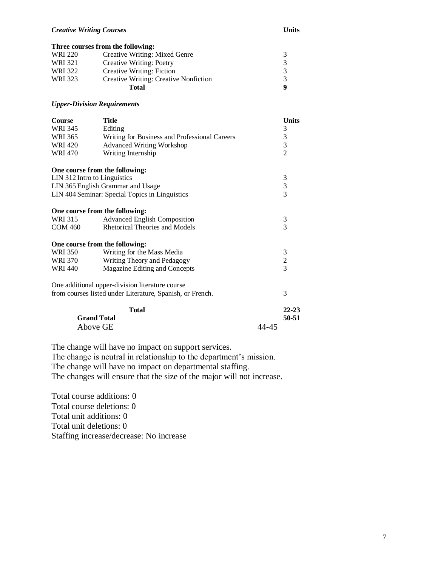#### *Creative Writing Courses* **Units**

|         | Three courses from the following:            |               |
|---------|----------------------------------------------|---------------|
| WRI 220 | Creative Writing: Mixed Genre                |               |
| WRI 321 | Creative Writing: Poetry                     | $\mathcal{R}$ |
| WRI 322 | Creative Writing: Fiction                    |               |
| WRI 323 | <b>Creative Writing: Creative Nonfiction</b> |               |
|         | Total                                        |               |

#### *Upper-Division Requirements*

| <b>Course</b>                  | <b>Title</b>                                              |       | <b>Units</b>   |
|--------------------------------|-----------------------------------------------------------|-------|----------------|
| WRI 345                        | Editing                                                   |       | 3              |
| WRI 365                        | Writing for Business and Professional Careers             |       | 3              |
| <b>WRI 420</b>                 | <b>Advanced Writing Workshop</b>                          |       | 3              |
| <b>WRI 470</b>                 | Writing Internship                                        |       | $\overline{2}$ |
| One course from the following: |                                                           |       |                |
| LIN 312 Intro to Linguistics   |                                                           |       | 3              |
|                                | LIN 365 English Grammar and Usage                         |       | 3              |
|                                | LIN 404 Seminar: Special Topics in Linguistics            |       | $\overline{3}$ |
| One course from the following: |                                                           |       |                |
| WRI 315                        | <b>Advanced English Composition</b>                       |       | $\mathfrak{Z}$ |
| COM 460                        | <b>Rhetorical Theories and Models</b>                     |       | 3              |
| One course from the following: |                                                           |       |                |
| <b>WRI 350</b>                 | Writing for the Mass Media                                |       | 3              |
| WRI 370                        | Writing Theory and Pedagogy                               |       | $\frac{2}{3}$  |
| WRI 440                        | Magazine Editing and Concepts                             |       |                |
|                                | One additional upper-division literature course           |       |                |
|                                | from courses listed under Literature, Spanish, or French. |       | 3              |
|                                | <b>Total</b>                                              |       | $22 - 23$      |
| <b>Grand Total</b>             |                                                           |       | 50-51          |
| Above GE                       |                                                           | 44-45 |                |

The change will have no impact on support services.

The change is neutral in relationship to the department's mission.

The change will have no impact on departmental staffing.

The changes will ensure that the size of the major will not increase.

Total course additions: 0 Total course deletions: 0 Total unit additions: 0 Total unit deletions: 0 Staffing increase/decrease: No increase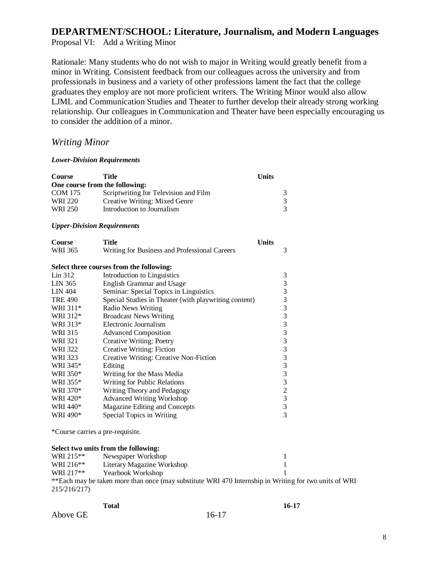Proposal VI: Add a Writing Minor

Rationale: Many students who do not wish to major in Writing would greatly benefit from a minor in Writing. Consistent feedback from our colleagues across the university and from professionals in business and a variety of other professions lament the fact that the college graduates they employ are not more proficient writers. The Writing Minor would also allow LJML and Communication Studies and Theater to further develop their already strong working relationship. Our colleagues in Communication and Theater have been especially encouraging us to consider the addition of a minor.

## *Writing Minor*

#### *Lower-Division Requirements*

| <b>Course</b>  | <b>Title</b>                                          | <b>Units</b>     |
|----------------|-------------------------------------------------------|------------------|
|                | One course from the following:                        |                  |
| <b>COM 175</b> | Scriptwriting for Television and Film                 | 3                |
| WRI 220        | <b>Creative Writing: Mixed Genre</b>                  | 3                |
| <b>WRI 250</b> | Introduction to Journalism                            | $\overline{3}$   |
|                | <b>Upper-Division Requirements</b>                    |                  |
| Course         | <b>Title</b>                                          | <b>Units</b>     |
| <b>WRI 365</b> | Writing for Business and Professional Careers         | 3                |
|                | Select three courses from the following:              |                  |
| Lin 312        | Introduction to Linguistics                           | 3                |
| LIN 365        | <b>English Grammar and Usage</b>                      |                  |
| <b>LIN 404</b> | Seminar: Special Topics in Linguistics                |                  |
| <b>TRE 490</b> | Special Studies in Theater (with playwriting content) | 3333333333323333 |
| WRI 311*       | Radio News Writing                                    |                  |
| WRI 312*       | <b>Broadcast News Writing</b>                         |                  |
| WRI 313*       | Electronic Journalism                                 |                  |
| <b>WRI 315</b> | <b>Advanced Composition</b>                           |                  |
| <b>WRI 321</b> | <b>Creative Writing: Poetry</b>                       |                  |
| <b>WRI 322</b> | Creative Writing: Fiction                             |                  |
| <b>WRI 323</b> | Creative Writing: Creative Non-Fiction                |                  |
| WRI 345*       | Editing                                               |                  |
| WRI 350*       | Writing for the Mass Media                            |                  |
| WRI 355*       | Writing for Public Relations                          |                  |
| WRI 370*       | Writing Theory and Pedagogy                           |                  |
| WRI 420*       | <b>Advanced Writing Workshop</b>                      |                  |
| WRI 440*       | Magazine Editing and Concepts                         |                  |
| WRI 490*       | Special Topics in Writing                             |                  |
|                | *Course carries a pre-requisite.                      |                  |
|                | Select two units from the following:                  |                  |

|              | D                                                                                                     |  |
|--------------|-------------------------------------------------------------------------------------------------------|--|
| WRI 215**    | Newspaper Workshop                                                                                    |  |
| WRI 216**    | Literary Magazine Workshop                                                                            |  |
| WRI 217**    | Yearbook Workshop                                                                                     |  |
|              | **Each may be taken more than once (may substitute WRI 470 Internship in Writing for two units of WRI |  |
| 215/216/217) |                                                                                                       |  |

|          | Total |           | 16-17 |
|----------|-------|-----------|-------|
| Above GE |       | $16 - 17$ |       |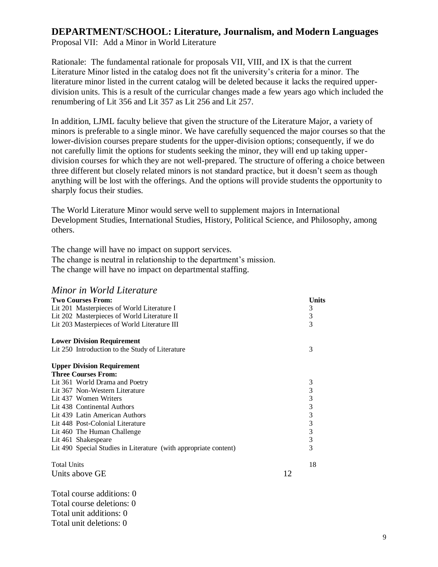Proposal VII: Add a Minor in World Literature

Rationale: The fundamental rationale for proposals VII, VIII, and IX is that the current Literature Minor listed in the catalog does not fit the university's criteria for a minor. The literature minor listed in the current catalog will be deleted because it lacks the required upperdivision units. This is a result of the curricular changes made a few years ago which included the renumbering of Lit 356 and Lit 357 as Lit 256 and Lit 257.

In addition, LJML faculty believe that given the structure of the Literature Major, a variety of minors is preferable to a single minor. We have carefully sequenced the major courses so that the lower-division courses prepare students for the upper-division options; consequently, if we do not carefully limit the options for students seeking the minor, they will end up taking upperdivision courses for which they are not well-prepared. The structure of offering a choice between three different but closely related minors is not standard practice, but it doesn't seem as though anything will be lost with the offerings. And the options will provide students the opportunity to sharply focus their studies.

The World Literature Minor would serve well to supplement majors in International Development Studies, International Studies, History, Political Science, and Philosophy, among others.

The change will have no impact on support services. The change is neutral in relationship to the department's mission. The change will have no impact on departmental staffing.

## *Minor in World Literature*

| <b>Two Courses From:</b>                                         |    | Units          |
|------------------------------------------------------------------|----|----------------|
| Lit 201 Masterpieces of World Literature I                       |    | 3              |
| Lit 202 Masterpieces of World Literature II                      |    | 3              |
| Lit 203 Masterpieces of World Literature III                     |    | 3              |
| <b>Lower Division Requirement</b>                                |    |                |
| Lit 250 Introduction to the Study of Literature                  |    | 3              |
| <b>Upper Division Requirement</b>                                |    |                |
| <b>Three Courses From:</b>                                       |    |                |
| Lit 361 World Drama and Poetry                                   |    | 3              |
| Lit 367 Non-Western Literature                                   |    | 3              |
| Lit 437 Women Writers                                            |    | $\frac{3}{3}$  |
| Lit 438 Continental Authors                                      |    |                |
| Lit 439 Latin American Authors                                   |    |                |
| Lit 448 Post-Colonial Literature                                 |    | $\frac{3}{3}$  |
| Lit 460 The Human Challenge                                      |    | 3              |
| Lit 461 Shakespeare                                              |    | $\overline{3}$ |
| Lit 490 Special Studies in Literature (with appropriate content) |    | 3              |
| <b>Total Units</b>                                               |    | 18             |
| Units above GE                                                   | 12 |                |
| Total course additions: 0                                        |    |                |

Total course deletions: 0 Total unit additions: 0 Total unit deletions: 0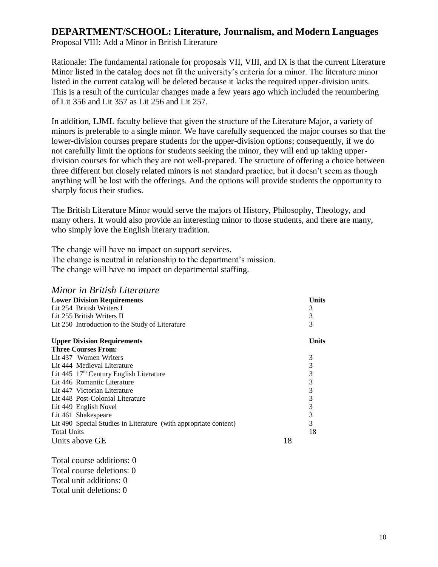Proposal VIII: Add a Minor in British Literature

Rationale: The fundamental rationale for proposals VII, VIII, and IX is that the current Literature Minor listed in the catalog does not fit the university's criteria for a minor. The literature minor listed in the current catalog will be deleted because it lacks the required upper-division units. This is a result of the curricular changes made a few years ago which included the renumbering of Lit 356 and Lit 357 as Lit 256 and Lit 257.

In addition, LJML faculty believe that given the structure of the Literature Major, a variety of minors is preferable to a single minor. We have carefully sequenced the major courses so that the lower-division courses prepare students for the upper-division options; consequently, if we do not carefully limit the options for students seeking the minor, they will end up taking upperdivision courses for which they are not well-prepared. The structure of offering a choice between three different but closely related minors is not standard practice, but it doesn't seem as though anything will be lost with the offerings. And the options will provide students the opportunity to sharply focus their studies.

The British Literature Minor would serve the majors of History, Philosophy, Theology, and many others. It would also provide an interesting minor to those students, and there are many, who simply love the English literary tradition.

The change will have no impact on support services. The change is neutral in relationship to the department's mission. The change will have no impact on departmental staffing.

| Minor in British Literature |
|-----------------------------|
|                             |

| <b>Lower Division Requirements</b>                               |    | Units |
|------------------------------------------------------------------|----|-------|
| Lit 254 British Writers I                                        |    | 3     |
| Lit 255 British Writers II                                       |    | 3     |
| Lit 250 Introduction to the Study of Literature                  |    | 3     |
| <b>Upper Division Requirements</b>                               |    | Units |
| <b>Three Courses From:</b>                                       |    |       |
| Lit 437 Women Writers                                            |    | 3     |
| Lit 444 Medieval Literature                                      |    | 3     |
| Lit 445 $17th$ Century English Literature                        |    | 3     |
| Lit 446 Romantic Literature                                      |    | 3     |
| Lit 447 Victorian Literature                                     |    | 3     |
| Lit 448 Post-Colonial Literature                                 |    | 3     |
| Lit 449 English Novel                                            |    | 3     |
| Lit 461 Shakespeare                                              |    | 3     |
| Lit 490 Special Studies in Literature (with appropriate content) |    | 3     |
| <b>Total Units</b>                                               |    | 18    |
| Units above GE                                                   | 18 |       |

Total course additions: 0 Total course deletions: 0 Total unit additions: 0 Total unit deletions: 0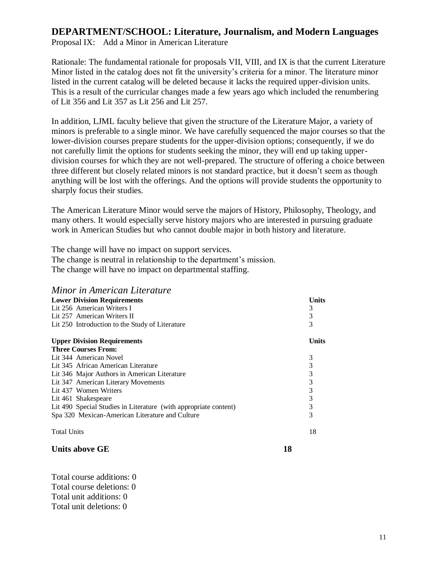Proposal IX: Add a Minor in American Literature

Rationale: The fundamental rationale for proposals VII, VIII, and IX is that the current Literature Minor listed in the catalog does not fit the university's criteria for a minor. The literature minor listed in the current catalog will be deleted because it lacks the required upper-division units. This is a result of the curricular changes made a few years ago which included the renumbering of Lit 356 and Lit 357 as Lit 256 and Lit 257.

In addition, LJML faculty believe that given the structure of the Literature Major, a variety of minors is preferable to a single minor. We have carefully sequenced the major courses so that the lower-division courses prepare students for the upper-division options; consequently, if we do not carefully limit the options for students seeking the minor, they will end up taking upperdivision courses for which they are not well-prepared. The structure of offering a choice between three different but closely related minors is not standard practice, but it doesn't seem as though anything will be lost with the offerings. And the options will provide students the opportunity to sharply focus their studies.

The American Literature Minor would serve the majors of History, Philosophy, Theology, and many others. It would especially serve history majors who are interested in pursuing graduate work in American Studies but who cannot double major in both history and literature.

The change will have no impact on support services. The change is neutral in relationship to the department's mission. The change will have no impact on departmental staffing.

| Minor in American Literature                                     |       |
|------------------------------------------------------------------|-------|
| <b>Lower Division Requirements</b>                               | Units |
| Lit 256 American Writers I                                       | 3     |
| Lit 257 American Writers II                                      | 3     |
| Lit 250 Introduction to the Study of Literature                  | 3     |
| <b>Upper Division Requirements</b>                               | Units |
| <b>Three Courses From:</b>                                       |       |
| Lit 344 American Novel                                           | 3     |
| Lit 345 African American Literature                              | 3     |
| Lit 346 Major Authors in American Literature                     | 3     |
| Lit 347 American Literary Movements                              | 3     |
| Lit 437 Women Writers                                            | 3     |
| Lit 461 Shakespeare                                              | 3     |
| Lit 490 Special Studies in Literature (with appropriate content) | 3     |
| Spa 320 Mexican-American Literature and Culture                  | 3     |
| <b>Total Units</b>                                               | 18    |

## **Units above GE 18**

Total course additions: 0 Total course deletions: 0 Total unit additions: 0 Total unit deletions: 0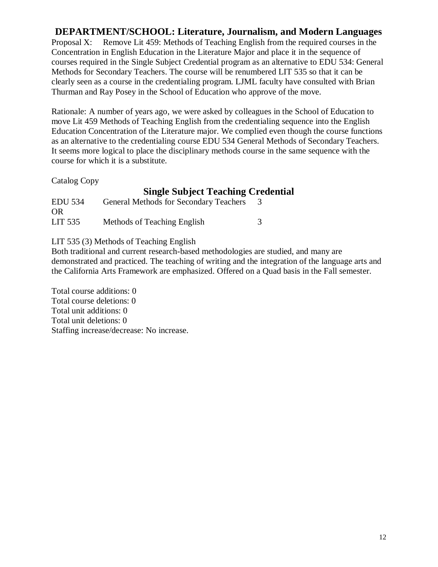Proposal X: Remove Lit 459: Methods of Teaching English from the required courses in the Concentration in English Education in the Literature Major and place it in the sequence of courses required in the Single Subject Credential program as an alternative to EDU 534: General Methods for Secondary Teachers. The course will be renumbered LIT 535 so that it can be clearly seen as a course in the credentialing program. LJML faculty have consulted with Brian Thurman and Ray Posey in the School of Education who approve of the move.

Rationale: A number of years ago, we were asked by colleagues in the School of Education to move Lit 459 Methods of Teaching English from the credentialing sequence into the English Education Concentration of the Literature major. We complied even though the course functions as an alternative to the credentialing course EDU 534 General Methods of Secondary Teachers. It seems more logical to place the disciplinary methods course in the same sequence with the course for which it is a substitute.

Catalog Copy

# **Single Subject Teaching Credential**

| <b>EDU 534</b>       | <b>General Methods for Secondary Teachers</b> |  |
|----------------------|-----------------------------------------------|--|
| <b>OR</b><br>LIT 535 | Methods of Teaching English                   |  |

LIT 535 (3) Methods of Teaching English

Both traditional and current research-based methodologies are studied, and many are demonstrated and practiced. The teaching of writing and the integration of the language arts and the California Arts Framework are emphasized. Offered on a Quad basis in the Fall semester.

Total course additions: 0 Total course deletions: 0 Total unit additions: 0 Total unit deletions: 0 Staffing increase/decrease: No increase.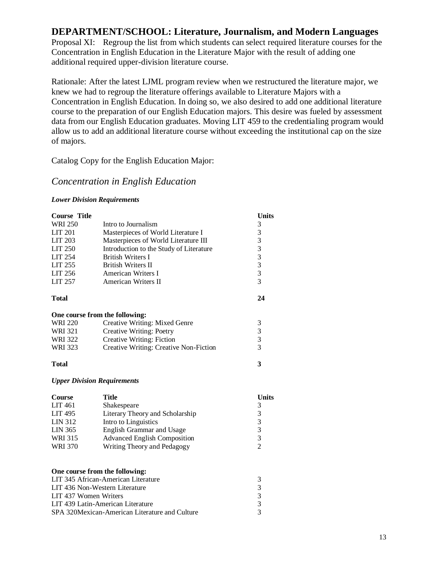Proposal XI: Regroup the list from which students can select required literature courses for the Concentration in English Education in the Literature Major with the result of adding one additional required upper-division literature course.

Rationale: After the latest LJML program review when we restructured the literature major, we knew we had to regroup the literature offerings available to Literature Majors with a Concentration in English Education. In doing so, we also desired to add one additional literature course to the preparation of our English Education majors. This desire was fueled by assessment data from our English Education graduates. Moving LIT 459 to the credentialing program would allow us to add an additional literature course without exceeding the institutional cap on the size of majors.

Catalog Copy for the English Education Major:

## *Concentration in English Education*

#### *Lower Division Requirements*

| <b>Course Title</b><br><b>WRI 250</b><br><b>LIT 201</b><br><b>LIT 203</b><br><b>LIT 250</b><br>LIT 254<br>LIT 255<br>LIT 256<br>LIT 257 | Intro to Journalism<br>Masterpieces of World Literature I<br>Masterpieces of World Literature III<br>Introduction to the Study of Literature<br><b>British Writers I</b><br><b>British Writers II</b><br>American Writers I<br>American Writers II | <b>Units</b><br>3<br>3<br>$\begin{array}{c} 3 \\ 3 \\ 3 \\ 3 \\ 3 \end{array}$ |  |  |
|-----------------------------------------------------------------------------------------------------------------------------------------|----------------------------------------------------------------------------------------------------------------------------------------------------------------------------------------------------------------------------------------------------|--------------------------------------------------------------------------------|--|--|
| <b>Total</b>                                                                                                                            |                                                                                                                                                                                                                                                    | 24                                                                             |  |  |
| One course from the following:                                                                                                          |                                                                                                                                                                                                                                                    |                                                                                |  |  |
| <b>WRI 220</b>                                                                                                                          | Creative Writing: Mixed Genre                                                                                                                                                                                                                      | 3                                                                              |  |  |
| <b>WRI 321</b>                                                                                                                          | <b>Creative Writing: Poetry</b>                                                                                                                                                                                                                    | $\frac{3}{3}$                                                                  |  |  |
| <b>WRI 322</b>                                                                                                                          | Creative Writing: Fiction                                                                                                                                                                                                                          |                                                                                |  |  |
| <b>WRI 323</b>                                                                                                                          | Creative Writing: Creative Non-Fiction                                                                                                                                                                                                             | $\overline{3}$                                                                 |  |  |
| <b>Total</b>                                                                                                                            |                                                                                                                                                                                                                                                    | 3                                                                              |  |  |
| <b>Upper Division Requirements</b>                                                                                                      |                                                                                                                                                                                                                                                    |                                                                                |  |  |
|                                                                                                                                         |                                                                                                                                                                                                                                                    |                                                                                |  |  |
| <b>Course</b>                                                                                                                           | <b>Title</b>                                                                                                                                                                                                                                       | <b>Units</b>                                                                   |  |  |
| <b>LIT 461</b>                                                                                                                          | Shakespeare                                                                                                                                                                                                                                        | 3                                                                              |  |  |
| <b>LIT 495</b>                                                                                                                          | Literary Theory and Scholarship                                                                                                                                                                                                                    | 3                                                                              |  |  |
| <b>LIN 312</b>                                                                                                                          | Intro to Linguistics                                                                                                                                                                                                                               | 3                                                                              |  |  |
| <b>LIN 365</b>                                                                                                                          | <b>English Grammar and Usage</b>                                                                                                                                                                                                                   | 3                                                                              |  |  |
| <b>WRI 315</b>                                                                                                                          | <b>Advanced English Composition</b>                                                                                                                                                                                                                | 3                                                                              |  |  |
| <b>WRI 370</b>                                                                                                                          | Writing Theory and Pedagogy                                                                                                                                                                                                                        | $\overline{2}$                                                                 |  |  |
|                                                                                                                                         |                                                                                                                                                                                                                                                    |                                                                                |  |  |
| One course from the following:                                                                                                          |                                                                                                                                                                                                                                                    |                                                                                |  |  |
|                                                                                                                                         | LIT 345 African-American Literature                                                                                                                                                                                                                | 3                                                                              |  |  |
| LIT 436 Non-Western Literature                                                                                                          |                                                                                                                                                                                                                                                    | 3                                                                              |  |  |
| LIT 437 Women Writers                                                                                                                   | LIT 439 Latin-American Literature                                                                                                                                                                                                                  | 3                                                                              |  |  |
|                                                                                                                                         | SPA 320 Mexican-American Literature and Culture                                                                                                                                                                                                    | 3<br>3                                                                         |  |  |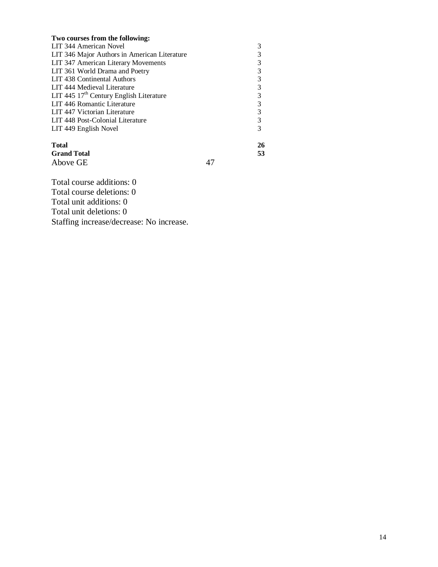| Two courses from the following:              |    |
|----------------------------------------------|----|
| LIT 344 American Novel                       |    |
| LIT 346 Major Authors in American Literature |    |
| LIT 347 American Literary Movements          | 3  |
| LIT 361 World Drama and Poetry               | 3  |
| LIT 438 Continental Authors                  | 3  |
| LIT 444 Medieval Literature                  | 3  |
| LIT 445 $17th$ Century English Literature    | 3  |
| LIT 446 Romantic Literature                  | 3  |
| LIT 447 Victorian Literature                 | 3  |
| LIT 448 Post-Colonial Literature             | 3  |
| LIT 449 English Novel                        | 3  |
| <b>Total</b>                                 | 26 |
| <b>Grand Total</b>                           | 53 |
| Above GE                                     |    |

Total course additions: 0 Total course deletions: 0 Total unit additions: 0 Total unit deletions: 0 Staffing increase/decrease: No increase.